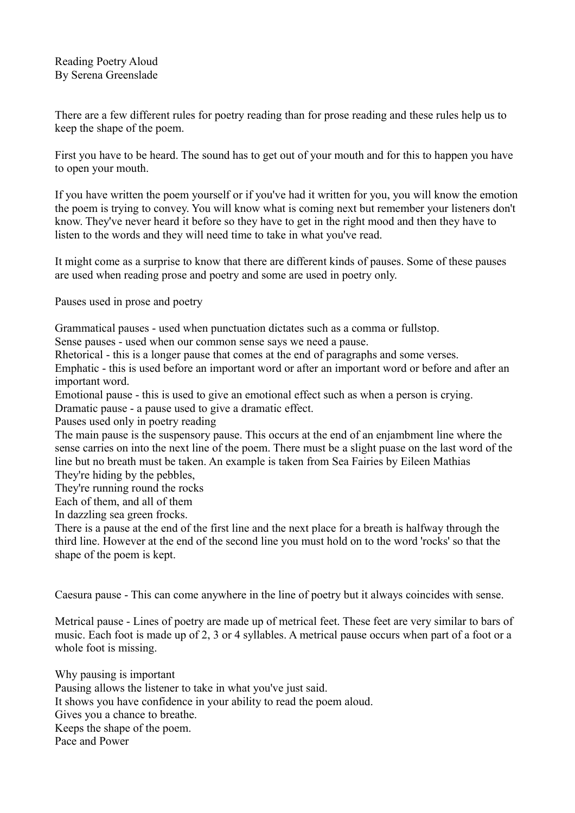There are a few different rules for poetry reading than for prose reading and these rules help us to keep the shape of the poem.

First you have to be heard. The sound has to get out of your mouth and for this to happen you have to open your mouth.

If you have written the poem yourself or if you've had it written for you, you will know the emotion the poem is trying to convey. You will know what is coming next but remember your listeners don't know. They've never heard it before so they have to get in the right mood and then they have to listen to the words and they will need time to take in what you've read.

It might come as a surprise to know that there are different kinds of pauses. Some of these pauses are used when reading prose and poetry and some are used in poetry only.

Pauses used in prose and poetry

Grammatical pauses - used when punctuation dictates such as a comma or fullstop.

Sense pauses - used when our common sense says we need a pause.

Rhetorical - this is a longer pause that comes at the end of paragraphs and some verses.

Emphatic - this is used before an important word or after an important word or before and after an important word.

Emotional pause - this is used to give an emotional effect such as when a person is crying. Dramatic pause - a pause used to give a dramatic effect.

Pauses used only in poetry reading

The main pause is the suspensory pause. This occurs at the end of an enjambment line where the sense carries on into the next line of the poem. There must be a slight puase on the last word of the line but no breath must be taken. An example is taken from Sea Fairies by Eileen Mathias They're hiding by the pebbles,

They're running round the rocks

Each of them, and all of them

In dazzling sea green frocks.

There is a pause at the end of the first line and the next place for a breath is halfway through the third line. However at the end of the second line you must hold on to the word 'rocks' so that the shape of the poem is kept.

Caesura pause - This can come anywhere in the line of poetry but it always coincides with sense.

Metrical pause - Lines of poetry are made up of metrical feet. These feet are very similar to bars of music. Each foot is made up of 2, 3 or 4 syllables. A metrical pause occurs when part of a foot or a whole foot is missing.

Why pausing is important Pausing allows the listener to take in what you've just said. It shows you have confidence in your ability to read the poem aloud. Gives you a chance to breathe. Keeps the shape of the poem. Pace and Power